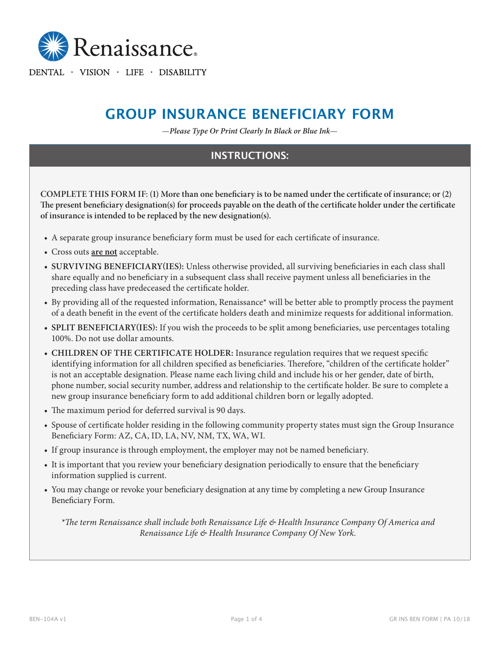

DENTAL · VISION · LIFE · DISABILITY

# **GROUP INSURANCE BENEFICIARY FORM**

—*Please Type Or Print Clearly In Black or Blue Ink*—

# **INSTRUCTIONS:**

**COMPLETE THIS FORM IF: (1) More than one beneficiary is to be named under the certificate of insurance; or (2) The present beneficiary designation(s) for proceeds payable on the death of the certificate holder under the certificate of insurance is intended to be replaced by the new designation(s).**

- A separate group insurance beneficiary form must be used for each certificate of insurance.
- Cross outs **are not** acceptable.
- **• SURVIVING BENEFICIARY(IES):** Unless otherwise provided, all surviving beneficiaries in each class shall share equally and no beneficiary in a subsequent class shall receive payment unless all beneficiaries in the preceding class have predeceased the certificate holder.
- By providing all of the requested information, Renaissance\* will be better able to promptly process the payment of a death benefit in the event of the certificate holders death and minimize requests for additional information.
- **• SPLIT BENEFICIARY(IES):** If you wish the proceeds to be split among beneficiaries, use percentages totaling 100%. Do not use dollar amounts.
- **• CHILDREN OF THE CERTIFICATE HOLDER:** Insurance regulation requires that we request specific identifying information for all children specified as beneficiaries. Therefore, "children of the certificate holder" is not an acceptable designation. Please name each living child and include his or her gender, date of birth, phone number, social security number, address and relationship to the certificate holder. Be sure to complete a new group insurance beneficiary form to add additional children born or legally adopted.
- The maximum period for deferred survival is 90 days.
- Spouse of certificate holder residing in the following community property states must sign the Group Insurance Beneficiary Form: AZ, CA, ID, LA, NV, NM, TX, WA, WI.
- If group insurance is through employment, the employer may not be named beneficiary.
- It is important that you review your beneficiary designation periodically to ensure that the beneficiary information supplied is current.
- You may change or revoke your beneficiary designation at any time by completing a new Group Insurance Beneficiary Form.

*\*The term Renaissance shall include both Renaissance Life & Health Insurance Company Of America and Renaissance Life & Health Insurance Company Of New York.*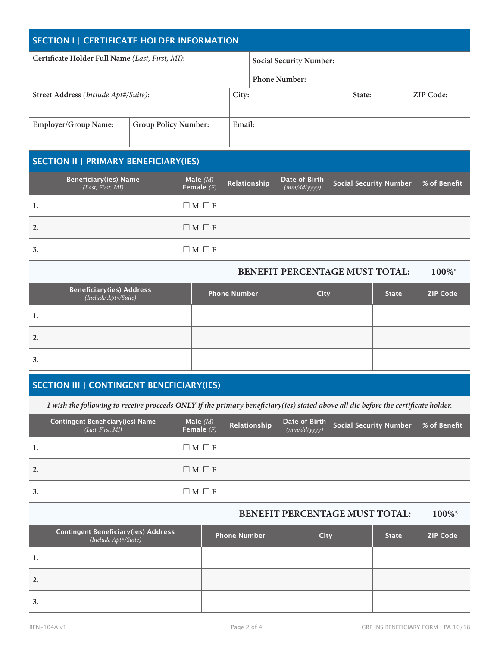| SECTION I   CERTIFICATE HOLDER INFORMATION      |                             |        |                                |        |           |
|-------------------------------------------------|-----------------------------|--------|--------------------------------|--------|-----------|
| Certificate Holder Full Name (Last, First, MI): |                             |        | <b>Social Security Number:</b> |        |           |
|                                                 |                             |        | <b>Phone Number:</b>           |        |           |
| Street Address (Include Apt#/Suite):            |                             | City:  |                                | State: | ZIP Code: |
| <b>Employer/Group Name:</b>                     | <b>Group Policy Number:</b> | Email: |                                |        |           |

|    | <b>SECTION II   PRIMARY BENEFICIARY(IES)</b>      |                            |              |                               |                        |              |
|----|---------------------------------------------------|----------------------------|--------------|-------------------------------|------------------------|--------------|
|    | <b>Beneficiary(ies) Name</b><br>(Last, First, MI) | Male $(M)$<br>Female $(F)$ | Relationship | Date of Birth<br>(mm/dd/yyyy) | Social Security Number | % of Benefit |
| 1. |                                                   | $\Box M \Box F$            |              |                               |                        |              |
| 2. |                                                   | $\Box M \Box F$            |              |                               |                        |              |
| 3. |                                                   | $\Box M \Box F$            |              |                               |                        |              |

# **BENEFIT PERCENTAGE MUST TOTAL: 100%\***

|    | <b>Beneficiary(ies) Address</b><br>( <i>Include Apt#/Suite</i> ) | <b>Phone Number</b> | <b>City</b> | <b>State</b> | <b>ZIP Code</b> |
|----|------------------------------------------------------------------|---------------------|-------------|--------------|-----------------|
| 1. |                                                                  |                     |             |              |                 |
| 2. |                                                                  |                     |             |              |                 |
| 3. |                                                                  |                     |             |              |                 |

# **SECTION III | CONTINGENT BENEFICIARY(IES)**

*I wish the following to receive proceeds ONLY if the primary beneficiary(ies) stated above all die before the certificate holder.*

|    | <b>Contingent Beneficiary(ies) Name</b><br>(Last, First, MI) | Male $(M)$<br>Female $(F)$ | Relationship | <b>Date of Birth</b> $\begin{bmatrix} \text{mm}/d d/\text{yyy} \end{bmatrix}$ | Social Security Number | % of Benefit |
|----|--------------------------------------------------------------|----------------------------|--------------|-------------------------------------------------------------------------------|------------------------|--------------|
| 1. |                                                              | $\Box M \Box F$            |              |                                                                               |                        |              |
| 2. |                                                              | $\Box M \Box F$            |              |                                                                               |                        |              |
| 3. |                                                              | $\Box M \Box F$            |              |                                                                               |                        |              |

## **BENEFIT PERCENTAGE MUST TOTAL: 100%\***

|    | <b>Contingent Beneficiary(ies) Address</b><br>(Include Apt#/Suite) | <b>Phone Number</b> | City | <b>State</b> | <b>ZIP Code</b> |
|----|--------------------------------------------------------------------|---------------------|------|--------------|-----------------|
| 1. |                                                                    |                     |      |              |                 |
| 2. |                                                                    |                     |      |              |                 |
| 3. |                                                                    |                     |      |              |                 |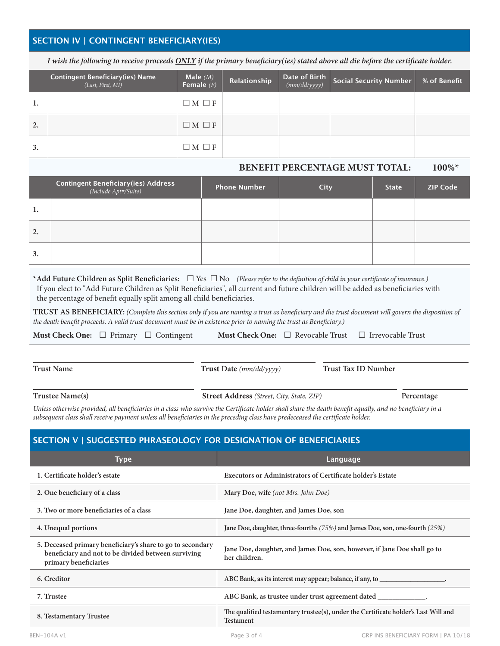# **SECTION IV | CONTINGENT BENEFICIARY(IES)**

*I wish the following to receive proceeds ONLY if the primary beneficiary(ies) stated above all die before the certificate holder.*

|    | <b>Contingent Beneficiary(ies) Name</b><br>(Last, First, MI) | Male $(M)$<br>Female $(F)$ | Relationship | <b>Date of Birth</b> $\begin{bmatrix} \text{mm}/d d/\text{yyy} \end{bmatrix}$ | Social Security Number | % of Benefit |
|----|--------------------------------------------------------------|----------------------------|--------------|-------------------------------------------------------------------------------|------------------------|--------------|
| 1. |                                                              | $\Box M \Box F$            |              |                                                                               |                        |              |
| 2. |                                                              | $\Box M \Box F$            |              |                                                                               |                        |              |
| 3. |                                                              | $\Box M \Box F$            |              |                                                                               |                        |              |

#### **BENEFIT PERCENTAGE MUST TOTAL: 100%\***

|    | <b>Contingent Beneficiary(ies) Address</b><br>( <i>Include Apt#/Suite</i> ) | <b>Phone Number</b> | <b>City</b> | <b>State</b> | <b>ZIP Code</b> |
|----|-----------------------------------------------------------------------------|---------------------|-------------|--------------|-----------------|
| 1. |                                                                             |                     |             |              |                 |
| 2. |                                                                             |                     |             |              |                 |
| 3. |                                                                             |                     |             |              |                 |

|                                                                        | *Add Future Children as Split Beneficiaries: $\Box$ Yes $\Box$ No (Please refer to the definition of child in your certificate of insurance.) |
|------------------------------------------------------------------------|-----------------------------------------------------------------------------------------------------------------------------------------------|
|                                                                        | If you elect to "Add Future Children as Split Beneficiaries", all current and future children will be added as beneficiaries with             |
| the percentage of benefit equally split among all child beneficiaries. |                                                                                                                                               |

**TRUST AS BENEFICIARY:** *(Complete this section only if you are naming a trust as beneficiary and the trust document will govern the disposition of the death benefit proceeds. A valid trust document must be in existence prior to naming the trust as Beneficiary.)*

|  |  | <b>Must Check One:</b> $\Box$ Primary $\Box$ Contingent |  |  | <b>Must Check One:</b> $\Box$ Revocable Trust $\Box$ Irrevocable Trust |
|--|--|---------------------------------------------------------|--|--|------------------------------------------------------------------------|
|--|--|---------------------------------------------------------|--|--|------------------------------------------------------------------------|

**Trust Name Trust Date** *(mm/dd/yyyy)* **Trust Tax ID Number**

**Trustee Name(s) Street Address** *(Street, City, State, ZIP)* **Percentage**

*Unless otherwise provided, all beneficiaries in a class who survive the Certificate holder shall share the death benefit equally, and no beneficiary in a subsequent class shall receive payment unless all beneficiaries in the preceding class have predeceased the certificate holder.*

### **SECTION V | SUGGESTED PHRASEOLOGY FOR DESIGNATION OF BENEFICIARIES**

| Type                                                                                                                                       | Language                                                                                                |
|--------------------------------------------------------------------------------------------------------------------------------------------|---------------------------------------------------------------------------------------------------------|
| 1. Certificate holder's estate                                                                                                             | <b>Executors or Administrators of Certificate holder's Estate</b>                                       |
| 2. One beneficiary of a class                                                                                                              | Mary Doe, wife (not Mrs. John Doe)                                                                      |
| 3. Two or more beneficiaries of a class                                                                                                    | Jane Doe, daughter, and James Doe, son                                                                  |
| 4. Unequal portions                                                                                                                        | Jane Doe, daughter, three-fourths (75%) and James Doe, son, one-fourth (25%)                            |
| 5. Deceased primary beneficiary's share to go to secondary<br>beneficiary and not to be divided between surviving<br>primary beneficiaries | Jane Doe, daughter, and James Doe, son, however, if Jane Doe shall go to<br>her children.               |
| 6. Creditor                                                                                                                                | ABC Bank, as its interest may appear; balance, if any, to                                               |
| 7. Trustee                                                                                                                                 | ABC Bank, as trustee under trust agreement dated                                                        |
| 8. Testamentary Trustee                                                                                                                    | The qualified testamentary trustee(s), under the Certificate holder's Last Will and<br><b>Testament</b> |